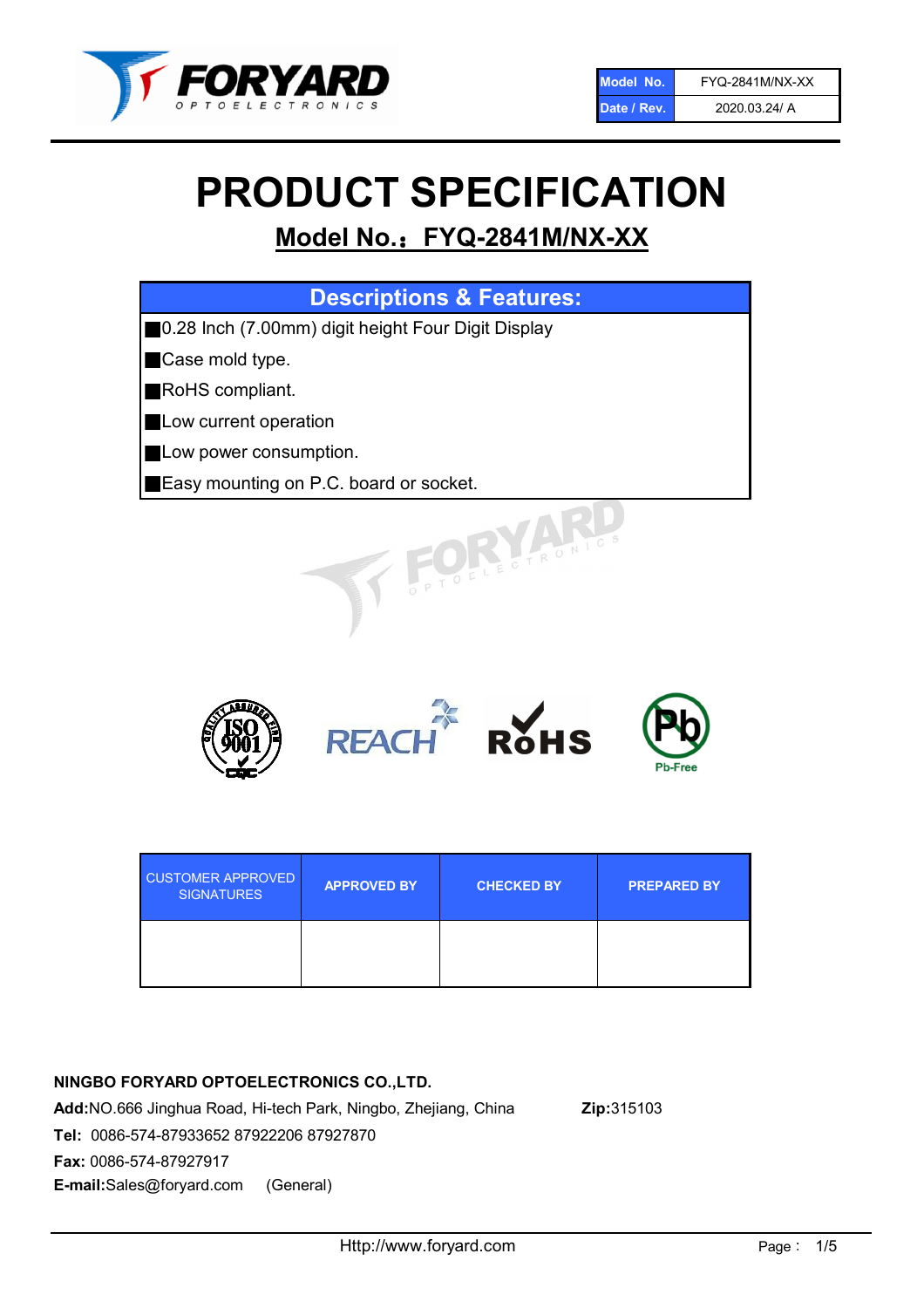

# PRODUCT SPECIFICATION

# Model No.: FYQ-2841M/NX-XX

| <b>Descriptions &amp; Features:</b>                 |  |  |
|-----------------------------------------------------|--|--|
| ■0.28 Inch (7.00mm) digit height Four Digit Display |  |  |
| Case mold type.                                     |  |  |
| RoHS compliant.                                     |  |  |
| Low current operation                               |  |  |
| Low power consumption.                              |  |  |
| Easy mounting on P.C. board or socket.              |  |  |
| TOELECTRONIC                                        |  |  |



| <b>CUSTOMER APPROVED</b><br><b>SIGNATURES</b> | <b>APPROVED BY</b> | <b>CHECKED BY</b> | <b>PREPARED BY</b> |
|-----------------------------------------------|--------------------|-------------------|--------------------|
|                                               |                    |                   |                    |

# NINGBO FORYARD OPTOELECTRONICS CO.,LTD.

Add:NO.666 Jinghua Road, Hi-tech Park, Ningbo, Zhejiang, China Zip:315103 Tel: 0086-574-87933652 87922206 87927870 Fax: 0086-574-87927917 E-mail:Sales@foryard.com (General)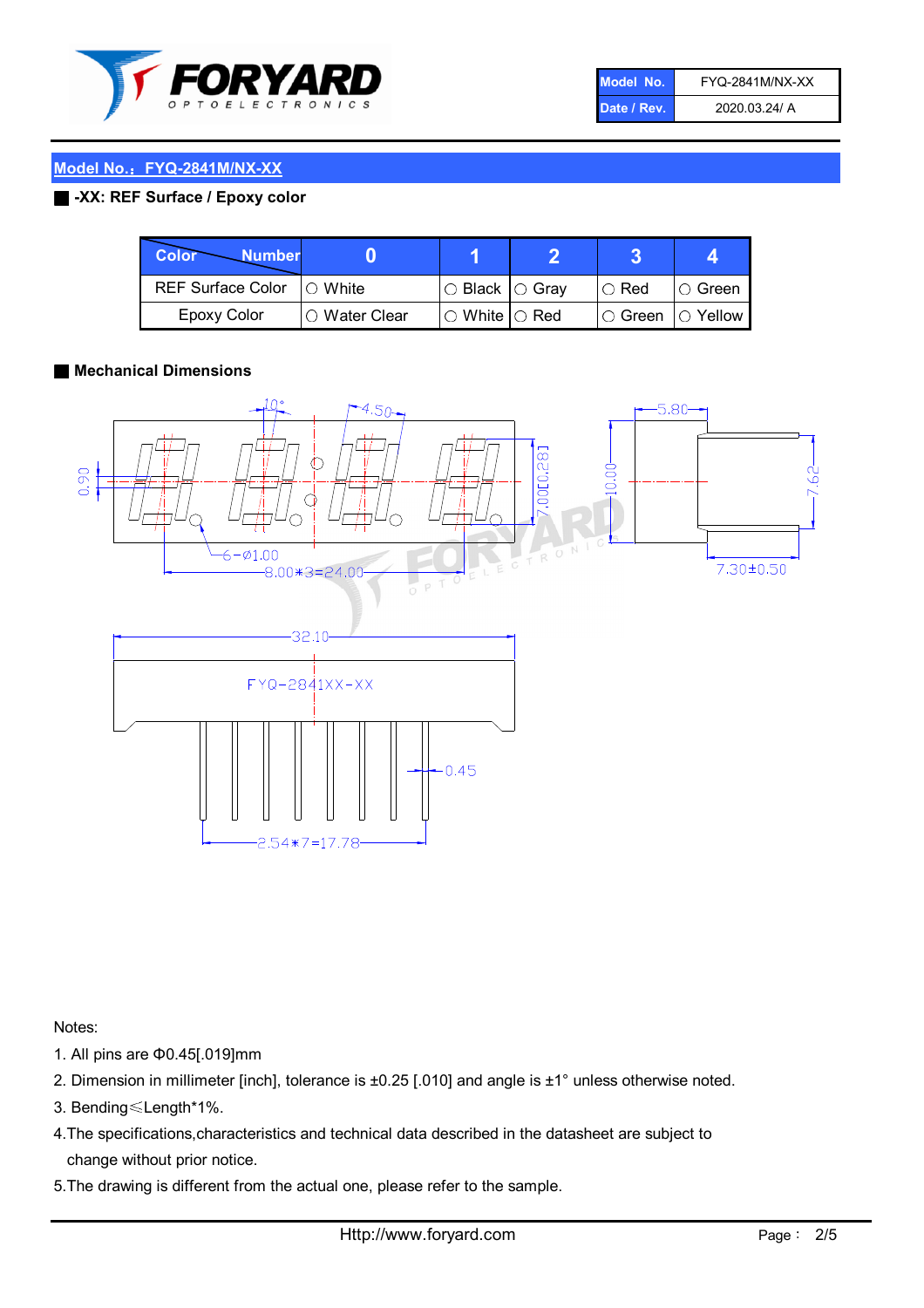

| Model No.   | <b>FYQ-2841M/NX-XX</b> |
|-------------|------------------------|
| Date / Rev. | 2020.03.24/ A          |

# Model No.: FYQ-2841M/NX-XX

#### ■ -XX: REF Surface / Epoxy color

| <b>Color</b><br><b>Number</b> |               |                           |                      |            |
|-------------------------------|---------------|---------------------------|----------------------|------------|
| REF Surface Color   O White   |               | I○ Black  ○ Gray          | $\circ$ Red          | IO Green i |
| <b>Epoxy Color</b>            | ○ Water Clear | $\circ$ White $\circ$ Red | l ⊙ Green   ○ Yellow |            |

#### ■ Mechanical Dimensions



Notes:

- 1. All pins are Φ0.45[.019]mm
- 2. Dimension in millimeter [inch], tolerance is ±0.25 [.010] and angle is ±1° unless otherwise noted.
- 3. Bending≤Length\*1%.
- 4.The specifications,characteristics and technical data described in the datasheet are subject to change without prior notice.
- 5.The drawing is different from the actual one, please refer to the sample.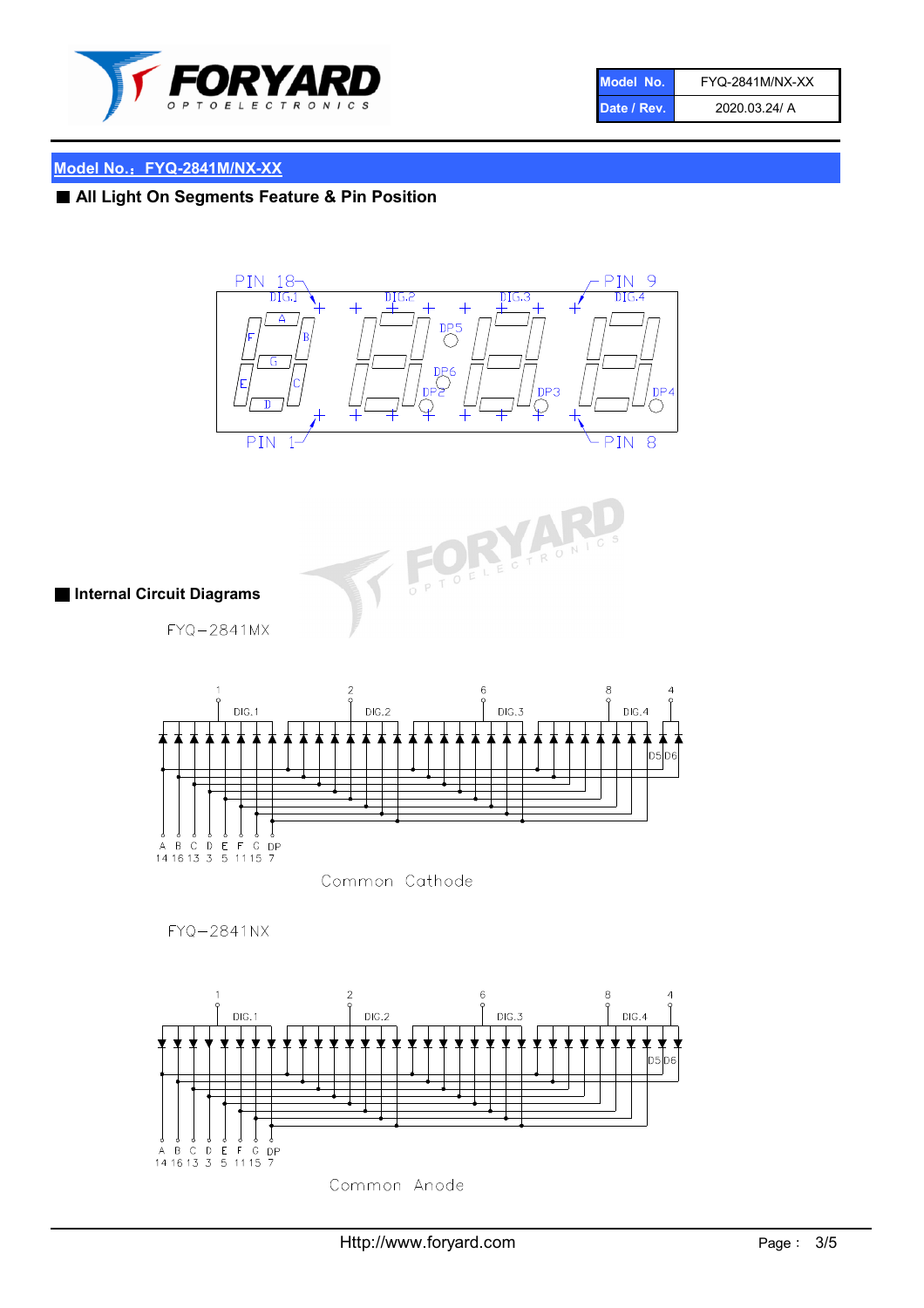

| Model No.   | <b>FYQ-2841M/NX-XX</b> |
|-------------|------------------------|
| Date / Rev. | 2020.03.24/ A          |

# Model No.: FYQ-2841M/NX-XX

■ All Light On Segments Feature & Pin Position





■ Internal Circuit Diagrams

FYQ-2841MX



Common Cathode

 $FYQ - 2841NX$ 

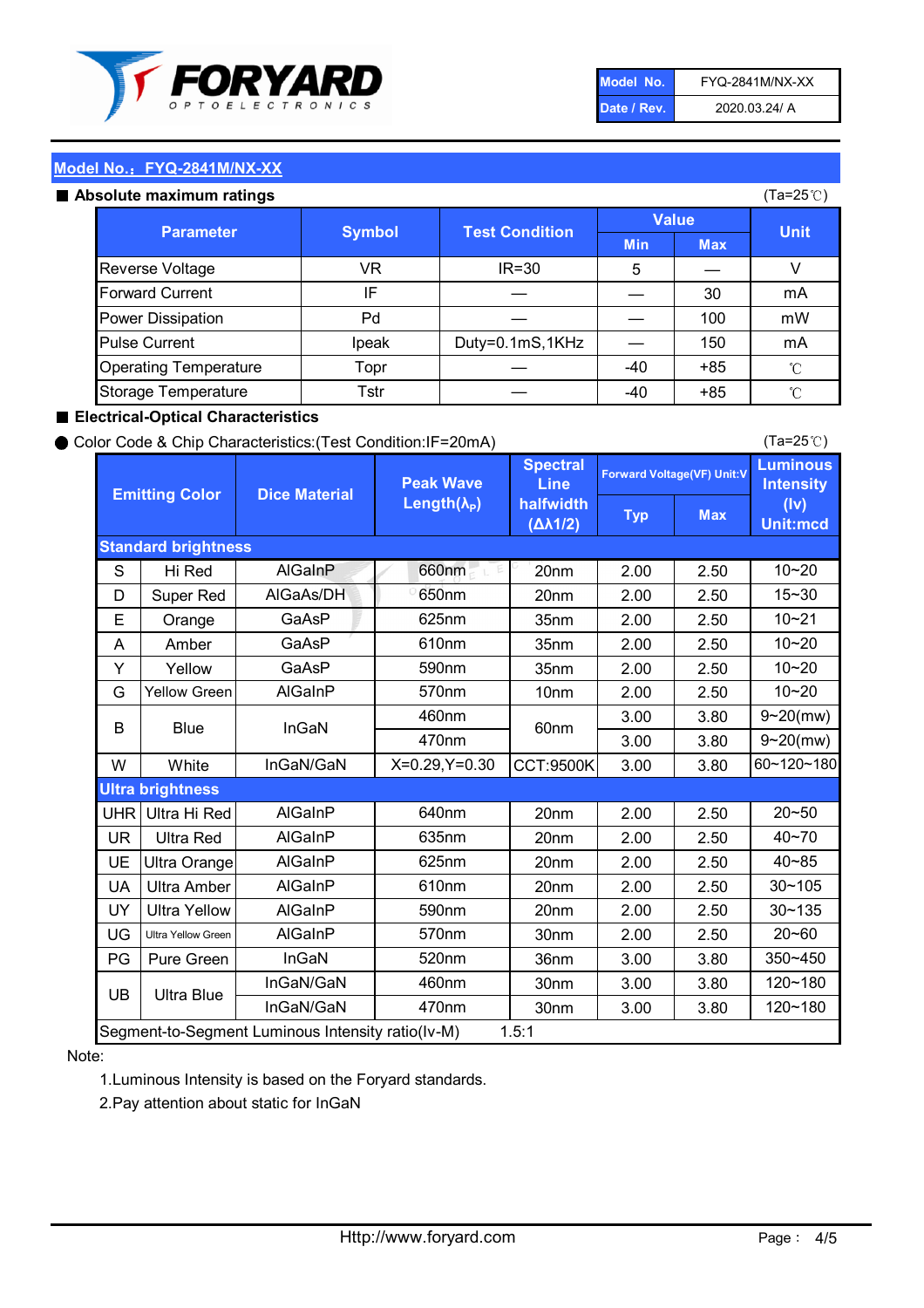

| Model No.   | <b>FYQ-2841M/NX-XX</b> |
|-------------|------------------------|
| Date / Rev. | 2020.03.24/ A          |

(Ta=25℃)

# Model No.: FYQ-2841M/NX-XX

| Absolute maximum ratings |  |
|--------------------------|--|
|                          |  |
|                          |  |

| solute maximum ratings       |                                        |                 |              |       | (Ta=25℃)        |
|------------------------------|----------------------------------------|-----------------|--------------|-------|-----------------|
| <b>Parameter</b>             | <b>Test Condition</b><br><b>Symbol</b> |                 | <b>Value</b> |       | <b>Unit</b>     |
|                              |                                        | <b>Min</b>      | <b>Max</b>   |       |                 |
| <b>Reverse Voltage</b>       | VR                                     | $IR = 30$       | 5            |       | V               |
| <b>Forward Current</b>       | IF                                     |                 |              | 30    | mA              |
| <b>Power Dissipation</b>     | Pd                                     |                 |              | 100   | mW              |
| <b>Pulse Current</b>         | Ipeak                                  | Duty=0.1mS,1KHz |              | 150   | mA              |
| <b>Operating Temperature</b> | Topr                                   |                 | $-40$        | $+85$ | $\rm ^{\circ}C$ |
| Storage Temperature          | Tstr                                   |                 | -40          | $+85$ | $^{\circ}$ C    |

#### ■ Electrical-Optical Characteristics

#### ● Color Code & Chip Characteristics:(Test Condition:IF=20mA)

Typ Max S | Hi $\textsf{Red}$  | AlGaInP | 660nm LE 20nm | 2.00 | 2.50 D | Super Red | AIGaAs/DH | 650nm | 20nm | 2.00 | 2.50 E | Orange | GaAsP | 625nm | 35nm | 2.00 | 2.50 A | Amber | GaAsP | 610nm | 35nm | 2.00 | 2.50 Y | Yellow | GaAsP | 590nm | 35nm | 2.00 | 2.50 G Yellow Green AIGaInP | 570nm | 10nm | 2.00 | 2.50 3.00 3.80 3.00 3.80 W | White | InGaN/GaN | X=0.29,Y=0.30 |CCT:9500K| 3.00 | 3.80 UHR Ultra Hi Red  $\vert$  AIGaInP  $\vert$  640nm  $\vert$  20nm  $\vert$  2.00  $\vert$  2.50 UR | Ultra Red | AlGaInP | 635nm | 20nm | 2.00 | 2.50 UE Ultra Orange | AIGaInP | 625nm | 20nm | 2.00 | 2.50 UA Ultra Amber | AIGaInP | 610nm | 20nm | 2.00 | 2.50  $UV$  Ultra Yellow  $\vert$  AlGaInP  $\vert$  590nm  $\vert$  20nm  $\vert$  2.00  $\vert$  2.50  $\text{UG}$  Ultra Yellow Green | AIGaInP | 570nm | 30nm | 2.00 | 2.50 PG Pure Green | InGaN | 520nm | 36nm | 3.00 | 3.80 30nm 3.00 3.80 30nm 3.00 3.80 40~85 60~120~180 40~70 Segment-to-Segment Luminous Intensity ratio(Iv-M) 1.5:1 610nm 9~20(mw) 350~450 470nm 120~180 120~180 Ultra Blue InGaN/GaN 9~20(mw) 20~50 570nm | 30nm | 2.00 | 2.50 | 20~60 470nm 590nm InGaN/GaN B Blue I InGaN 570nm | 10nm | 2.00 | 2.50 | 10~20 30~105 30~135 460nm 520nm Ultra brightness **AlGaInP** AlGaInP 60nm AlGaInP 640nm Peak Wave Length $(\lambda_{\rm P})$ UB 460nm 635nm AlGaInP AlGaInP AlGaInP InGaN/GaN AlGaInP Luminous **Intensity** (Iv) Unit:mcd AlGainP 660nm GaAsP GaAsP AlGaAs/DH **Spectral** Line halfwidth (∆λ1/2) 10~20 Standard brightness Forward Voltage(VF) Unit:V 15~30 10~20 10~20 625nm GaAsP 590nm **Emitting Color Dice Material** 10~21 610nm

#### Note:

1.Luminous Intensity is based on the Foryard standards.

2.Pay attention about static for InGaN